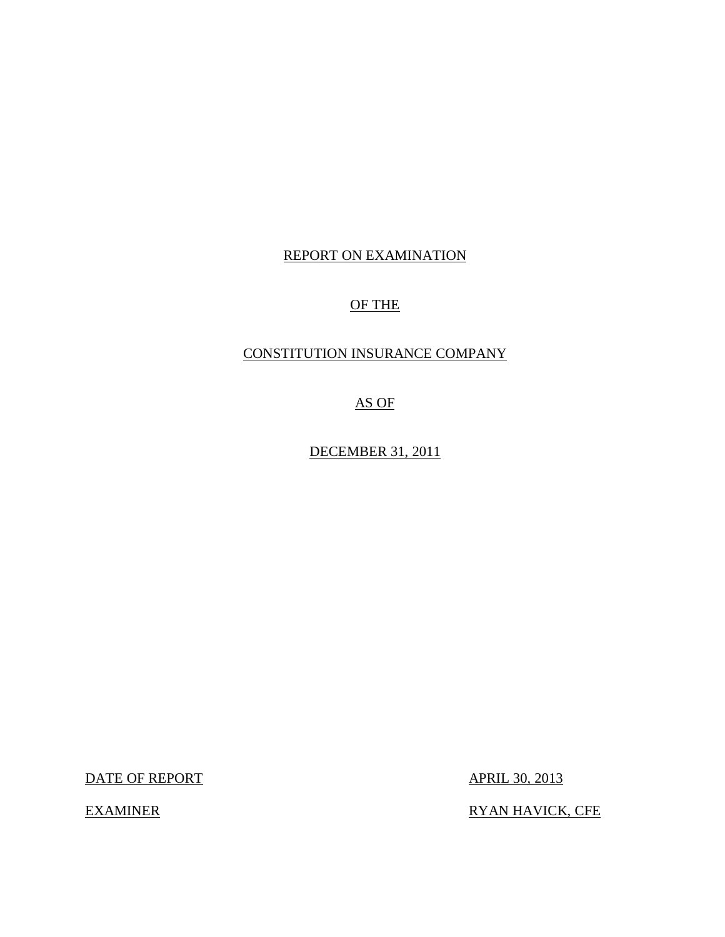## REPORT ON EXAMINATION

## OF THE

## CONSTITUTION INSURANCE COMPANY

AS OF

DECEMBER 31, 2011

DATE OF REPORT APRIL 30, 2013

EXAMINER RYAN HAVICK, CFE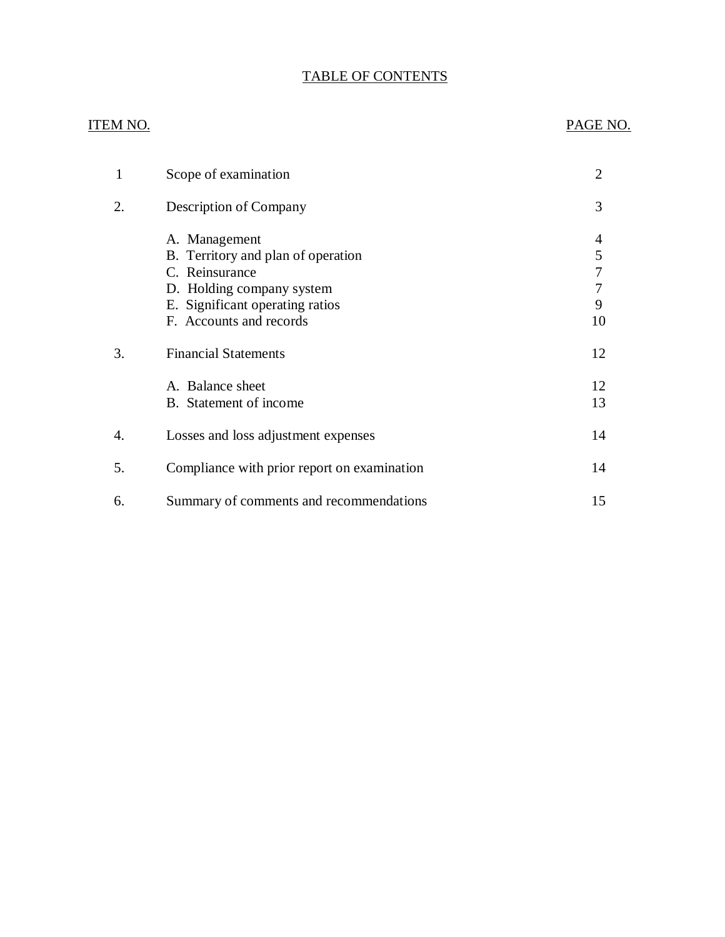## TABLE OF CONTENTS

## ITEM NO. PAGE NO.

| $\mathbf{1}$ | Scope of examination                                                                                                                                             | 2                      |
|--------------|------------------------------------------------------------------------------------------------------------------------------------------------------------------|------------------------|
| 2.           | Description of Company                                                                                                                                           | 3                      |
|              | A. Management<br>B. Territory and plan of operation<br>C. Reinsurance<br>D. Holding company system<br>E. Significant operating ratios<br>F. Accounts and records | 5<br>7<br>7<br>9<br>10 |
| 3.           | <b>Financial Statements</b>                                                                                                                                      | 12                     |
|              | A. Balance sheet<br>B. Statement of income                                                                                                                       | 12<br>13               |
| 4.           | Losses and loss adjustment expenses                                                                                                                              | 14                     |
| 5.           | Compliance with prior report on examination                                                                                                                      | 14                     |
| 6.           | Summary of comments and recommendations                                                                                                                          | 15                     |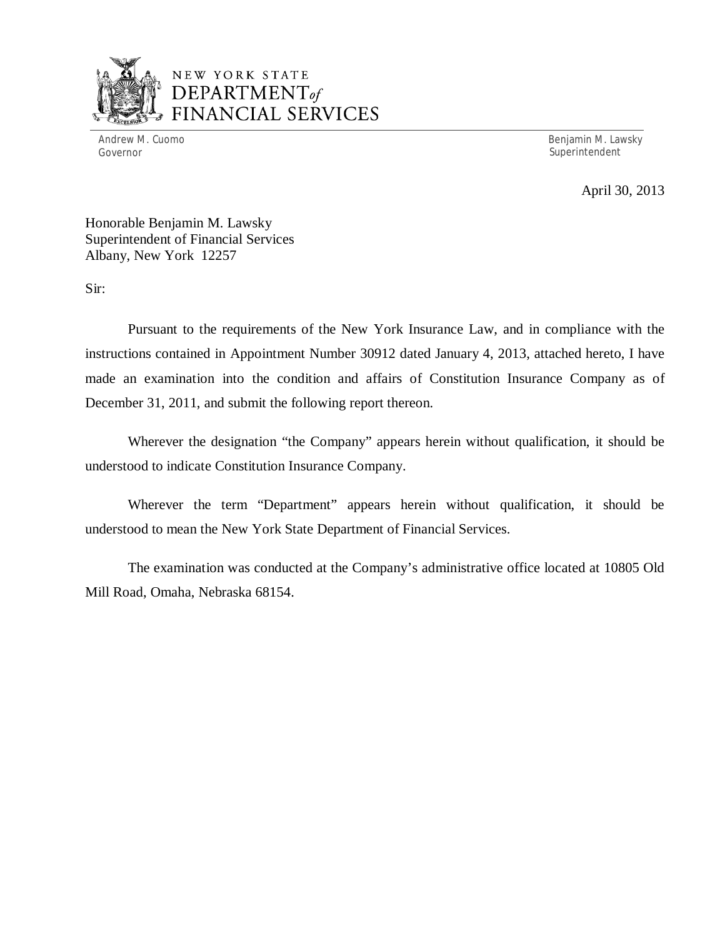

## NEW YORK STATE *DEPARTMENTof*  ANCIAL SERVICES

Governor Superintendent Superintendent Superintendent Superintendent Superintendent Superintendent Superintendent

Andrew M. Cuomo Benjamin M. Lawsky

April 30, 2013

Honorable Benjamin M. Lawsky Superintendent of Financial Services Albany, New York 12257

Sir:

Pursuant to the requirements of the New York Insurance Law, and in compliance with the instructions contained in Appointment Number 30912 dated January 4, 2013, attached hereto, I have made an examination into the condition and affairs of Constitution Insurance Company as of December 31, 2011, and submit the following report thereon.

Wherever the designation "the Company" appears herein without qualification, it should be understood to indicate Constitution Insurance Company.

Wherever the term "Department" appears herein without qualification, it should be understood to mean the New York State Department of Financial Services.

The examination was conducted at the Company's administrative office located at 10805 Old Mill Road, Omaha, Nebraska 68154.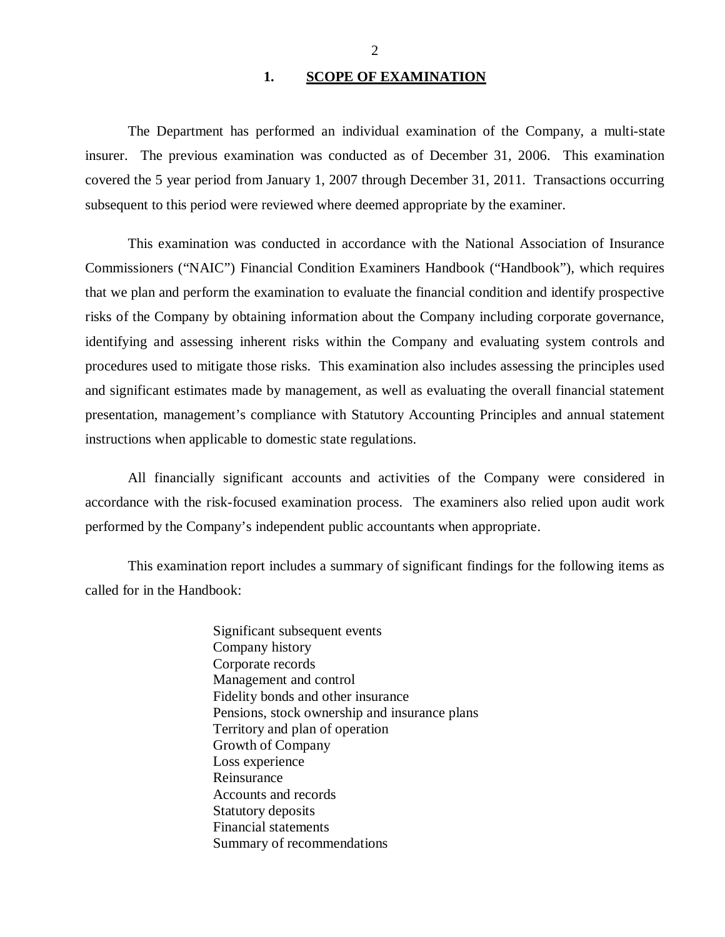#### 1. SCOPE OF EXAMINATION

<span id="page-3-0"></span>The Department has performed an individual examination of the Company*,* a multi-state insurer. The previous examination was conducted as of December 31, 2006. This examination covered the 5 year period from January 1, 2007 through December 31, 2011. Transactions occurring subsequent to this period were reviewed where deemed appropriate by the examiner.

This examination was conducted in accordance with the National Association of Insurance Commissioners ("NAIC") Financial Condition Examiners Handbook ("Handbook"), which requires that we plan and perform the examination to evaluate the financial condition and identify prospective risks of the Company by obtaining information about the Company including corporate governance, identifying and assessing inherent risks within the Company and evaluating system controls and procedures used to mitigate those risks. This examination also includes assessing the principles used and significant estimates made by management, as well as evaluating the overall financial statement presentation, management's compliance with Statutory Accounting Principles and annual statement instructions when applicable to domestic state regulations.

All financially significant accounts and activities of the Company were considered in accordance with the risk-focused examination process. The examiners also relied upon audit work performed by the Company's independent public accountants when appropriate.

This examination report includes a summary of significant findings for the following items as called for in the Handbook:

> Significant subsequent events Company history Corporate records Management and control Fidelity bonds and other insurance Pensions, stock ownership and insurance plans Territory and plan of operation Growth of Company Loss experience Reinsurance Accounts and records Statutory deposits Financial statements Summary of recommendations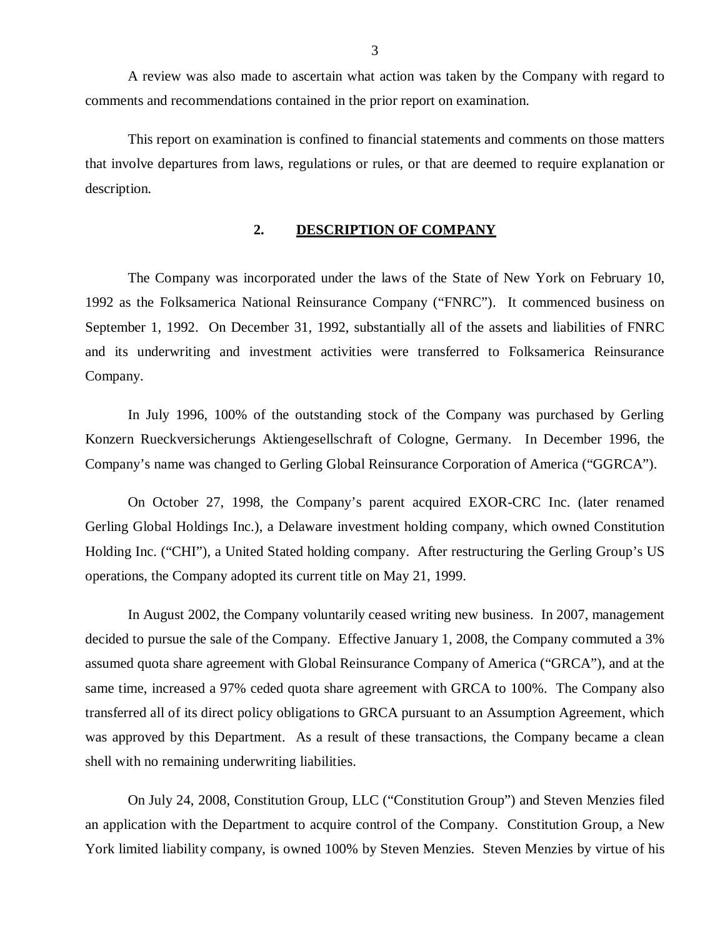<span id="page-4-0"></span>A review was also made to ascertain what action was taken by the Company with regard to comments and recommendations contained in the prior report on examination.

This report on examination is confined to financial statements and comments on those matters that involve departures from laws, regulations or rules, or that are deemed to require explanation or description.

#### **2. DESCRIPTION OF COMPANY**

The Company was incorporated under the laws of the State of New York on February 10, 1992 as the Folksamerica National Reinsurance Company ("FNRC"). It commenced business on September 1, 1992. On December 31, 1992, substantially all of the assets and liabilities of FNRC and its underwriting and investment activities were transferred to Folksamerica Reinsurance Company.

In July 1996, 100% of the outstanding stock of the Company was purchased by Gerling Konzern Rueckversicherungs Aktiengesellschraft of Cologne, Germany. In December 1996, the Company's name was changed to Gerling Global Reinsurance Corporation of America ("GGRCA").

On October 27, 1998, the Company's parent acquired EXOR-CRC Inc. (later renamed Gerling Global Holdings Inc.), a Delaware investment holding company, which owned Constitution Holding Inc. ("CHI"), a United Stated holding company. After restructuring the Gerling Group's US operations, the Company adopted its current title on May 21, 1999.

In August 2002, the Company voluntarily ceased writing new business. In 2007, management decided to pursue the sale of the Company. Effective January 1, 2008, the Company commuted a 3% assumed quota share agreement with Global Reinsurance Company of America ("GRCA"), and at the same time, increased a 97% ceded quota share agreement with GRCA to 100%. The Company also transferred all of its direct policy obligations to GRCA pursuant to an Assumption Agreement, which was approved by this Department. As a result of these transactions, the Company became a clean shell with no remaining underwriting liabilities.

On July 24, 2008, Constitution Group, LLC ("Constitution Group") and Steven Menzies filed an application with the Department to acquire control of the Company. Constitution Group, a New York limited liability company, is owned 100% by Steven Menzies. Steven Menzies by virtue of his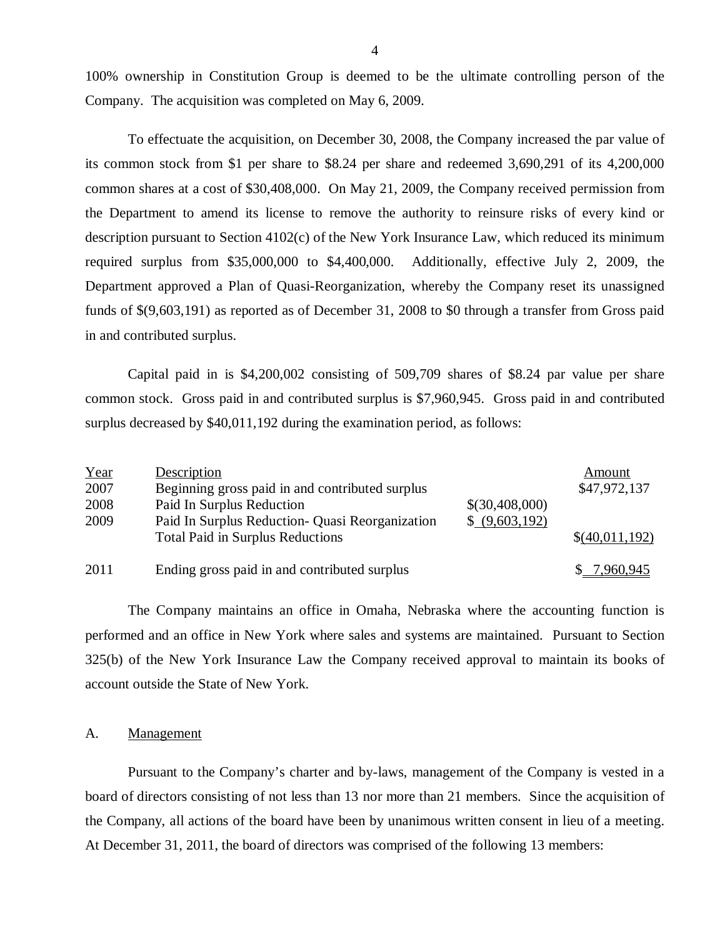100% ownership in Constitution Group is deemed to be the ultimate controlling person of the Company. The acquisition was completed on May 6, 2009.

To effectuate the acquisition, on December 30, 2008, the Company increased the par value of its common stock from \$1 per share to \$8.24 per share and redeemed 3,690,291 of its 4,200,000 common shares at a cost of \$30,408,000. On May 21, 2009, the Company received permission from the Department to amend its license to remove the authority to reinsure risks of every kind or description pursuant to Section 4102(c) of the New York Insurance Law, which reduced its minimum required surplus from \$35,000,000 to \$4,400,000. Additionally, effective July 2, 2009, the Department approved a Plan of Quasi-Reorganization, whereby the Company reset its unassigned funds of \$(9,603,191) as reported as of December 31, 2008 to \$0 through a transfer from Gross paid in and contributed surplus.

Capital paid in is \$4,200,002 consisting of 509,709 shares of \$8.24 par value per share common stock. Gross paid in and contributed surplus is \$7,960,945. Gross paid in and contributed surplus decreased by \$40,011,192 during the examination period, as follows:

| Year | Description                                      |                | Amount         |
|------|--------------------------------------------------|----------------|----------------|
| 2007 | Beginning gross paid in and contributed surplus  |                | \$47,972,137   |
| 2008 | Paid In Surplus Reduction                        | \$(30,408,000) |                |
| 2009 | Paid In Surplus Reduction - Quasi Reorganization | \$ (9,603,192) |                |
|      | <b>Total Paid in Surplus Reductions</b>          |                | \$(40,011,192) |
| 2011 | Ending gross paid in and contributed surplus     |                | \$7,960,945    |

The Company maintains an office in Omaha, Nebraska where the accounting function is performed and an office in New York where sales and systems are maintained. Pursuant to Section 325(b) of the New York Insurance Law the Company received approval to maintain its books of account outside the State of New York.

#### A. Management

Pursuant to the Company's charter and by-laws, management of the Company is vested in a board of directors consisting of not less than 13 nor more than 21 members. Since the acquisition of the Company, all actions of the board have been by unanimous written consent in lieu of a meeting. At December 31, 2011, the board of directors was comprised of the following 13 members: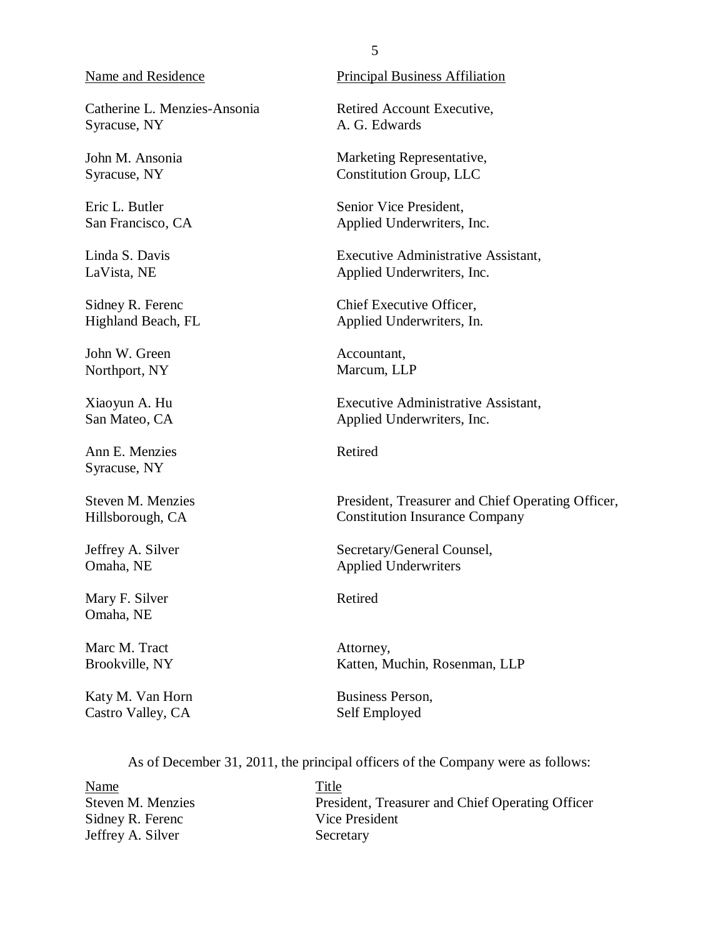#### <span id="page-6-0"></span>Name and Residence

Catherine L. Menzies-Ansonia Syracuse, NY

John M. Ansonia Syracuse, NY

Eric L. Butler San Francisco, CA

Linda S. Davis LaVista, NE

Sidney R. Ferenc Highland Beach, FL

John W. Green Northport, NY

Xiaoyun A. Hu San Mateo, CA

Ann E. Menzies Syracuse, NY

Steven M. Menzies Hillsborough, CA

Jeffrey A. Silver Omaha, NE

Mary F. Silver Omaha, NE

Marc M. Tract Brookville, NY

Katy M. Van Horn Castro Valley, CA

Principal Business Affiliation

Retired Account Executive, A. G. Edwards

Marketing Representative, Constitution Group, LLC

Senior Vice President, Applied Underwriters, Inc.

Executive Administrative Assistant, Applied Underwriters, Inc.

Chief Executive Officer, Applied Underwriters, In.

Accountant, Marcum, LLP

Executive Administrative Assistant, Applied Underwriters, Inc.

Retired

President, Treasurer and Chief Operating Officer, Constitution Insurance Company

Secretary/General Counsel, Applied Underwriters

Retired

Attorney, Katten, Muchin, Rosenman, LLP

Business Person, Self Employed

As of December 31, 2011, the principal officers of the Company were as follows:

Name Title Sidney R. Ferenc Vice President Jeffrey A. Silver Secretary

Steven M. Menzies President, Treasurer and Chief Operating Officer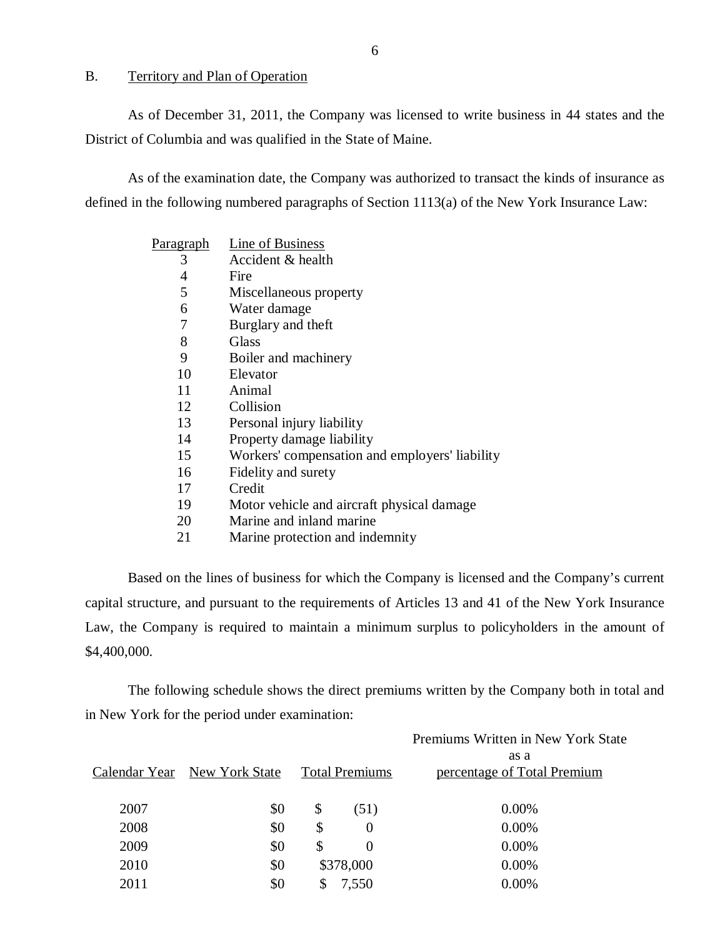#### B. Territory and Plan of Operation

As of December 31, 2011, the Company was licensed to write business in 44 states and the District of Columbia and was qualified in the State of Maine.

As of the examination date, the Company was authorized to transact the kinds of insurance as defined in the following numbered paragraphs of Section 1113(a) of the New York Insurance Law:

| <u>Paragraph</u> | Line of Business                               |
|------------------|------------------------------------------------|
| 3                | Accident & health                              |
| 4                | Fire                                           |
| 5                | Miscellaneous property                         |
| 6                | Water damage                                   |
| 7                | Burglary and theft                             |
| 8                | Glass                                          |
| 9                | Boiler and machinery                           |
| 10               | Elevator                                       |
| 11               | Animal                                         |
| 12               | Collision                                      |
| 13               | Personal injury liability                      |
| 14               | Property damage liability                      |
| 15               | Workers' compensation and employers' liability |
| 16               | Fidelity and surety                            |
| 17               | Credit                                         |
| 19               | Motor vehicle and aircraft physical damage     |
| 20               | Marine and inland marine                       |
| 21               | Marine protection and indemnity                |
|                  |                                                |

Based on the lines of business for which the Company is licensed and the Company's current capital structure, and pursuant to the requirements of Articles 13 and 41 of the New York Insurance Law, the Company is required to maintain a minimum surplus to policyholders in the amount of \$4,400,000.

The following schedule shows the direct premiums written by the Company both in total and in New York for the period under examination:

|      | Calendar Year New York State |                           | <b>Total Premiums</b> | Premiums Written in New York State<br>as a<br>percentage of Total Premium |
|------|------------------------------|---------------------------|-----------------------|---------------------------------------------------------------------------|
| 2007 | \$0                          | $\boldsymbol{\mathsf{S}}$ | (51)                  | 0.00%                                                                     |
| 2008 | \$0                          | \$                        | $\Omega$              | 0.00%                                                                     |
| 2009 | \$0                          | \$                        | $\Omega$              | $0.00\%$                                                                  |
| 2010 | \$0                          |                           | \$378,000             | $0.00\%$                                                                  |
| 2011 | \$0                          | \$                        | 7,550                 | 0.00%                                                                     |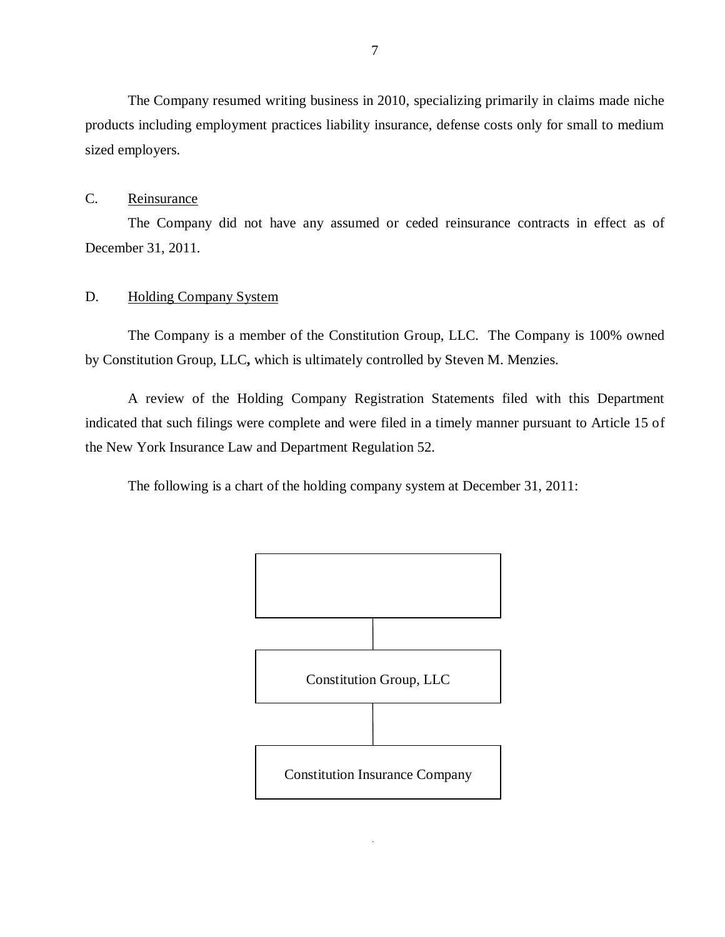<span id="page-8-0"></span>The Company resumed writing business in 2010, specializing primarily in claims made niche products including employment practices liability insurance, defense costs only for small to medium sized employers.

### C. Reinsurance

The Company did not have any assumed or ceded reinsurance contracts in effect as of December 31, 2011.

#### D. Holding Company System

The Company is a member of the Constitution Group, LLC. The Company is 100% owned by Constitution Group, LLC**,** which is ultimately controlled by Steven M. Menzies.

A review of the Holding Company Registration Statements filed with this Department indicated that such filings were complete and were filed in a timely manner pursuant to Article 15 of the New York Insurance Law and Department Regulation 52.

The following is a chart of the holding company system at December 31, 2011:

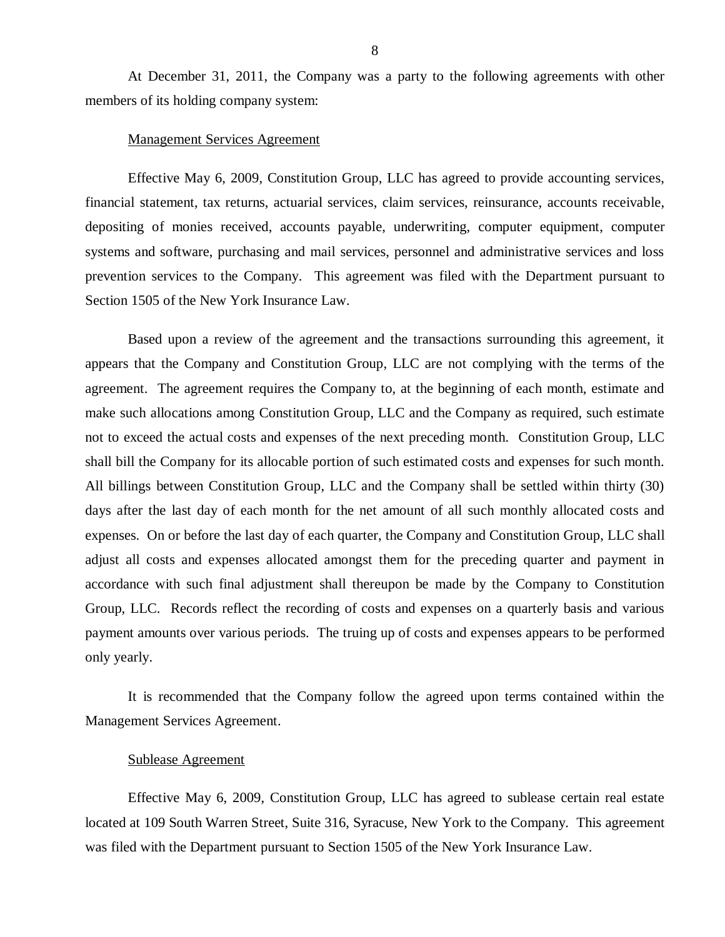At December 31, 2011, the Company was a party to the following agreements with other members of its holding company system:

#### Management Services Agreement

Effective May 6, 2009, Constitution Group, LLC has agreed to provide accounting services, financial statement, tax returns, actuarial services, claim services, reinsurance, accounts receivable, depositing of monies received, accounts payable, underwriting, computer equipment, computer systems and software, purchasing and mail services, personnel and administrative services and loss prevention services to the Company. This agreement was filed with the Department pursuant to Section 1505 of the New York Insurance Law.

Based upon a review of the agreement and the transactions surrounding this agreement, it appears that the Company and Constitution Group, LLC are not complying with the terms of the agreement. The agreement requires the Company to, at the beginning of each month, estimate and make such allocations among Constitution Group, LLC and the Company as required, such estimate not to exceed the actual costs and expenses of the next preceding month. Constitution Group, LLC shall bill the Company for its allocable portion of such estimated costs and expenses for such month. All billings between Constitution Group, LLC and the Company shall be settled within thirty (30) days after the last day of each month for the net amount of all such monthly allocated costs and expenses. On or before the last day of each quarter, the Company and Constitution Group, LLC shall adjust all costs and expenses allocated amongst them for the preceding quarter and payment in accordance with such final adjustment shall thereupon be made by the Company to Constitution Group, LLC. Records reflect the recording of costs and expenses on a quarterly basis and various payment amounts over various periods. The truing up of costs and expenses appears to be performed only yearly.

It is recommended that the Company follow the agreed upon terms contained within the Management Services Agreement.

#### Sublease Agreement

Effective May 6, 2009, Constitution Group, LLC has agreed to sublease certain real estate located at 109 South Warren Street, Suite 316, Syracuse, New York to the Company. This agreement was filed with the Department pursuant to Section 1505 of the New York Insurance Law.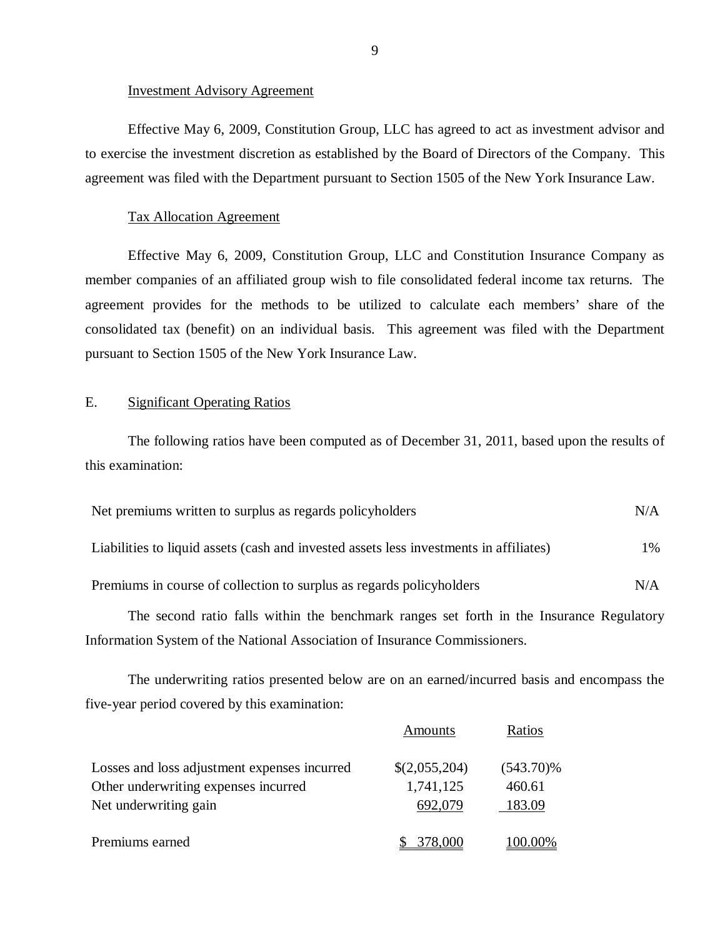#### Investment Advisory Agreement

Effective May 6, 2009, Constitution Group, LLC has agreed to act as investment advisor and to exercise the investment discretion as established by the Board of Directors of the Company. This agreement was filed with the Department pursuant to Section 1505 of the New York Insurance Law.

#### Tax Allocation Agreement

Effective May 6, 2009, Constitution Group, LLC and Constitution Insurance Company as member companies of an affiliated group wish to file consolidated federal income tax returns. The agreement provides for the methods to be utilized to calculate each members' share of the consolidated tax (benefit) on an individual basis. This agreement was filed with the Department pursuant to Section 1505 of the New York Insurance Law.

#### E. Significant Operating Ratios

The following ratios have been computed as of December 31, 2011, based upon the results of this examination:

| Net premiums written to surplus as regards policyholders                               | N/A   |
|----------------------------------------------------------------------------------------|-------|
| Liabilities to liquid assets (cash and invested assets less investments in affiliates) | $1\%$ |
| Premiums in course of collection to surplus as regards policyholders                   | N/A   |
|                                                                                        |       |

The second ratio falls within the benchmark ranges set forth in the Insurance Regulatory Information System of the National Association of Insurance Commissioners.

The underwriting ratios presented below are on an earned/incurred basis and encompass the five-year period covered by this examination:

|                                              | Amounts       | Ratios       |
|----------------------------------------------|---------------|--------------|
| Losses and loss adjustment expenses incurred | \$(2,055,204) | $(543.70)\%$ |
| Other underwriting expenses incurred         | 1,741,125     | 460.61       |
| Net underwriting gain                        | 692,079       | 183.09       |
| Premiums earned                              | 378,000       | 100.00%      |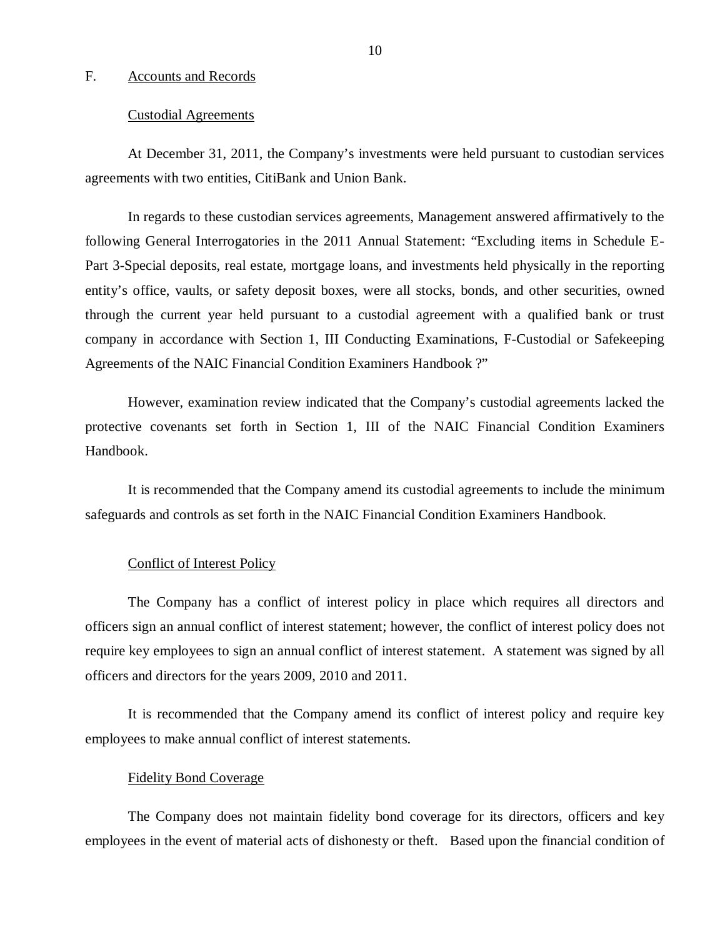#### <span id="page-11-0"></span>F. Accounts and Records

#### Custodial Agreements

At December 31, 2011, the Company's investments were held pursuant to custodian services agreements with two entities, CitiBank and Union Bank.

In regards to these custodian services agreements, Management answered affirmatively to the following General Interrogatories in the 2011 Annual Statement: "Excluding items in Schedule E-Part 3-Special deposits, real estate, mortgage loans, and investments held physically in the reporting entity's office, vaults, or safety deposit boxes, were all stocks, bonds, and other securities, owned through the current year held pursuant to a custodial agreement with a qualified bank or trust company in accordance with Section 1, III Conducting Examinations, F-Custodial or Safekeeping Agreements of the NAIC Financial Condition Examiners Handbook ?"

However, examination review indicated that the Company's custodial agreements lacked the protective covenants set forth in Section 1, III of the NAIC Financial Condition Examiners Handbook.

It is recommended that the Company amend its custodial agreements to include the minimum safeguards and controls as set forth in the NAIC Financial Condition Examiners Handbook.

#### Conflict of Interest Policy

The Company has a conflict of interest policy in place which requires all directors and officers sign an annual conflict of interest statement; however, the conflict of interest policy does not require key employees to sign an annual conflict of interest statement. A statement was signed by all officers and directors for the years 2009, 2010 and 2011.

It is recommended that the Company amend its conflict of interest policy and require key employees to make annual conflict of interest statements.

#### Fidelity Bond Coverage

The Company does not maintain fidelity bond coverage for its directors, officers and key employees in the event of material acts of dishonesty or theft. Based upon the financial condition of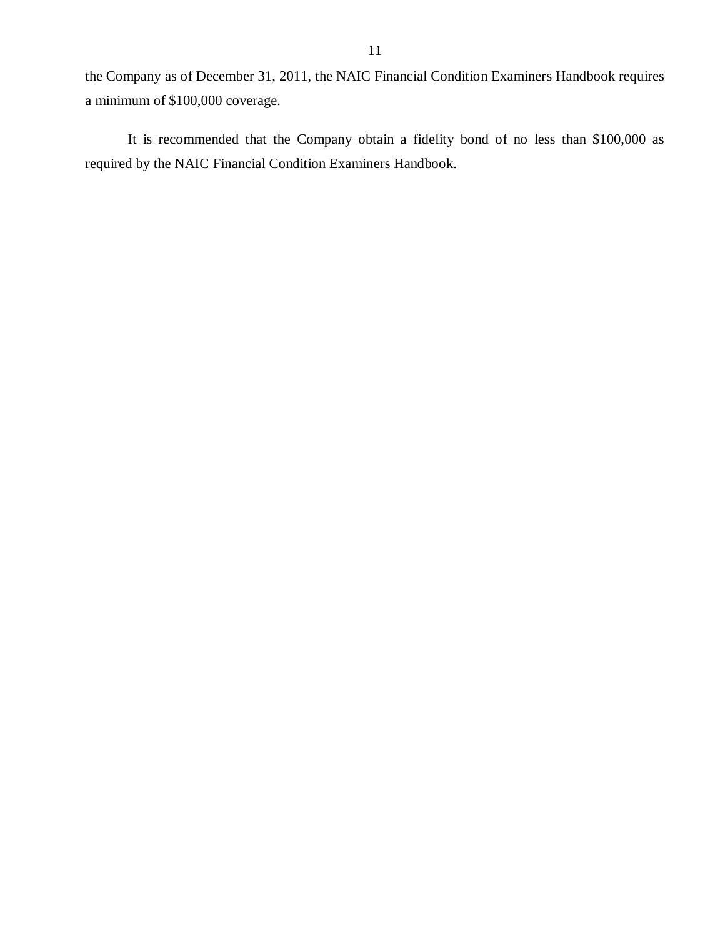the Company as of December 31, 2011, the NAIC Financial Condition Examiners Handbook requires a minimum of \$100,000 coverage.

It is recommended that the Company obtain a fidelity bond of no less than \$100,000 as required by the NAIC Financial Condition Examiners Handbook.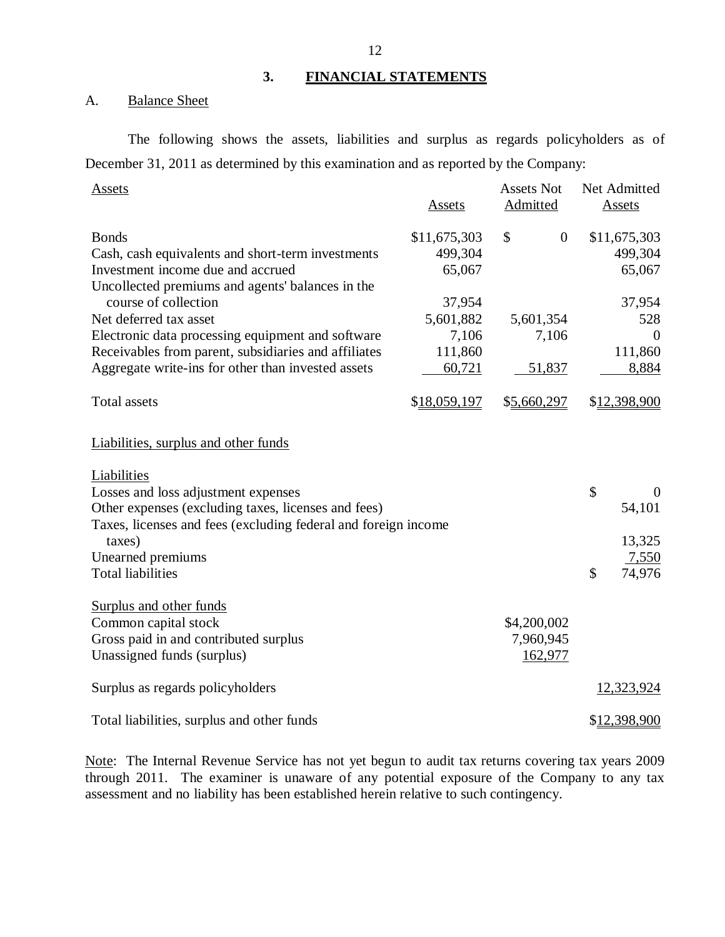## **3. FINANCIAL STATEMENTS**

A. Balance Sheet

The following shows the assets, liabilities and surplus as regards policyholders as of December 31, 2011 as determined by this examination and as reported by the Company:

| Assets                                                                                                                                                                                | <b>Assets</b>                     | <b>Assets Not</b><br>Admitted       | Net Admitted<br><b>Assets</b>      |
|---------------------------------------------------------------------------------------------------------------------------------------------------------------------------------------|-----------------------------------|-------------------------------------|------------------------------------|
| <b>Bonds</b><br>Cash, cash equivalents and short-term investments<br>Investment income due and accrued                                                                                | \$11,675,303<br>499,304<br>65,067 | \$<br>$\overline{0}$                | \$11,675,303<br>499,304<br>65,067  |
| Uncollected premiums and agents' balances in the<br>course of collection<br>Net deferred tax asset<br>Electronic data processing equipment and software                               | 37,954<br>5,601,882<br>7,106      | 5,601,354<br>7,106                  | 37,954<br>528<br>$\Omega$          |
| Receivables from parent, subsidiaries and affiliates<br>Aggregate write-ins for other than invested assets                                                                            | 111,860<br>60,721                 | 51,837                              | 111,860<br>8,884                   |
| <b>Total assets</b>                                                                                                                                                                   | \$18,059,197                      | \$5,660,297                         | \$12,398,900                       |
| Liabilities, surplus and other funds                                                                                                                                                  |                                   |                                     |                                    |
| Liabilities<br>Losses and loss adjustment expenses<br>Other expenses (excluding taxes, licenses and fees)<br>Taxes, licenses and fees (excluding federal and foreign income<br>taxes) |                                   |                                     | \$<br>$\Omega$<br>54,101<br>13,325 |
| Unearned premiums<br><b>Total liabilities</b>                                                                                                                                         |                                   |                                     | 7,550<br>\$<br>74,976              |
| Surplus and other funds<br>Common capital stock<br>Gross paid in and contributed surplus<br>Unassigned funds (surplus)                                                                |                                   | \$4,200,002<br>7,960,945<br>162,977 |                                    |
| Surplus as regards policyholders                                                                                                                                                      |                                   |                                     | 12,323,924                         |
| Total liabilities, surplus and other funds                                                                                                                                            |                                   |                                     | \$12,398,900                       |

Note: The Internal Revenue Service has not yet begun to audit tax returns covering tax years 2009 through 2011. The examiner is unaware of any potential exposure of the Company to any tax assessment and no liability has been established herein relative to such contingency.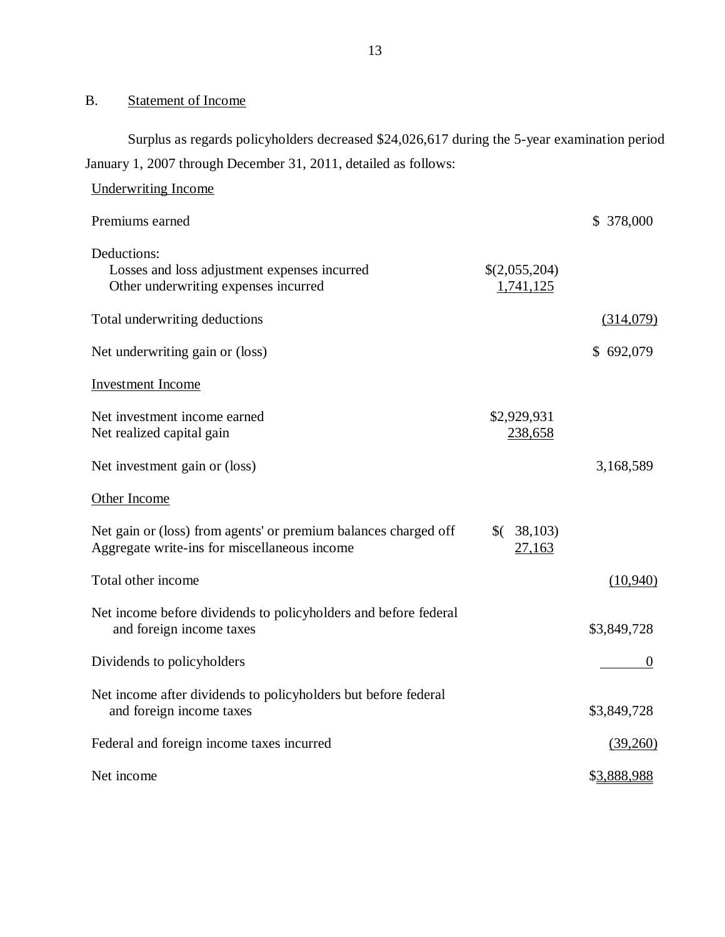## B. Statement of Income

Surplus as regards policyholders decreased \$24,026,617 during the 5-year examination period January 1, 2007 through December 31, 2011, detailed as follows:

| <b>Underwriting Income</b>                                                                                      |                            |             |
|-----------------------------------------------------------------------------------------------------------------|----------------------------|-------------|
| Premiums earned                                                                                                 |                            | \$ 378,000  |
| Deductions:<br>Losses and loss adjustment expenses incurred<br>Other underwriting expenses incurred             | \$(2,055,204)<br>1,741,125 |             |
| Total underwriting deductions                                                                                   |                            | (314,079)   |
| Net underwriting gain or (loss)                                                                                 |                            | \$692,079   |
| <b>Investment Income</b>                                                                                        |                            |             |
| Net investment income earned<br>Net realized capital gain                                                       | \$2,929,931<br>238,658     |             |
| Net investment gain or (loss)                                                                                   |                            | 3,168,589   |
| Other Income                                                                                                    |                            |             |
| Net gain or (loss) from agents' or premium balances charged off<br>Aggregate write-ins for miscellaneous income | (38,103)<br>27,163         |             |
| Total other income                                                                                              |                            | (10,940)    |
| Net income before dividends to policyholders and before federal<br>and foreign income taxes                     |                            | \$3,849,728 |
| Dividends to policyholders                                                                                      |                            | $\theta$    |
| Net income after dividends to policyholders but before federal<br>and foreign income taxes                      |                            | \$3,849,728 |
| Federal and foreign income taxes incurred                                                                       |                            | (39,260)    |
| Net income                                                                                                      |                            | \$3,888,988 |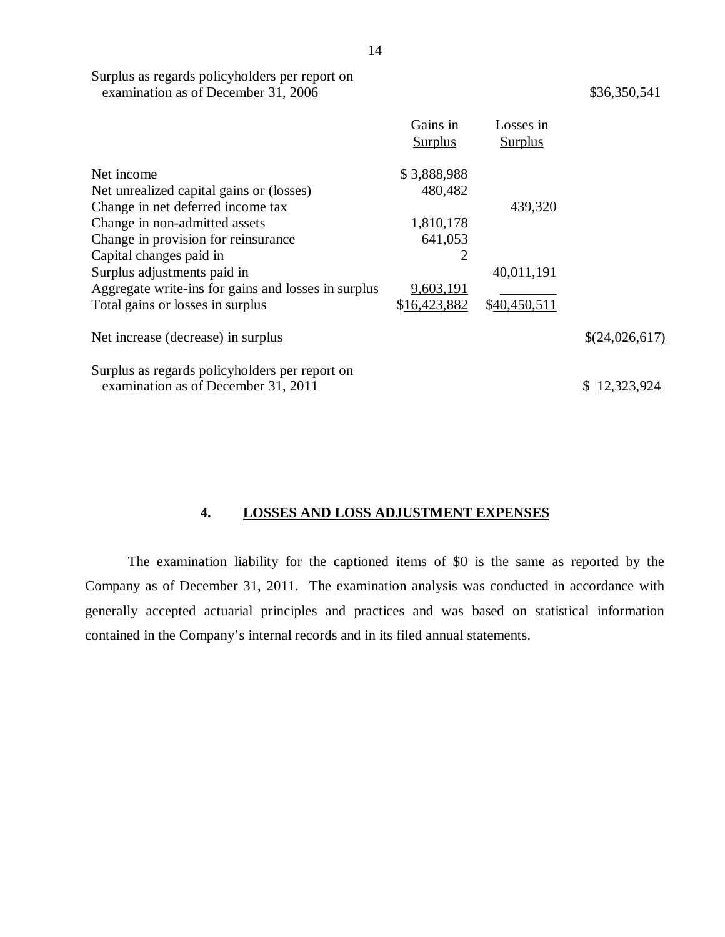<span id="page-15-0"></span>Surplus as regards policyholders per report on examination as of December 31, 2006

\$36,350,541

|                                                     | Gains in<br><b>Surplus</b> | Losses in<br><b>Surplus</b> |                |
|-----------------------------------------------------|----------------------------|-----------------------------|----------------|
| Net income                                          | \$3,888,988                |                             |                |
| Net unrealized capital gains or (losses)            | 480,482                    |                             |                |
| Change in net deferred income tax                   |                            | 439,320                     |                |
| Change in non-admitted assets                       | 1,810,178                  |                             |                |
| Change in provision for reinsurance                 | 641,053                    |                             |                |
| Capital changes paid in                             | $\overline{2}$             |                             |                |
| Surplus adjustments paid in                         |                            | 40,011,191                  |                |
| Aggregate write-ins for gains and losses in surplus | 9,603,191                  |                             |                |
| Total gains or losses in surplus                    | \$16,423,882               | \$40,450,511                |                |
| Net increase (decrease) in surplus                  |                            |                             | \$(24,026,617) |
| Surplus as regards policyholders per report on      |                            |                             |                |
| examination as of December 31, 2011                 |                            |                             | 12.323.924     |

## **4. LOSSES AND LOSS ADJUSTMENT EXPENSES**

The examination liability for the captioned items of \$0 is the same as reported by the Company as of December 31, 2011. The examination analysis was conducted in accordance with generally accepted actuarial principles and practices and was based on statistical information contained in the Company's internal records and in its filed annual statements.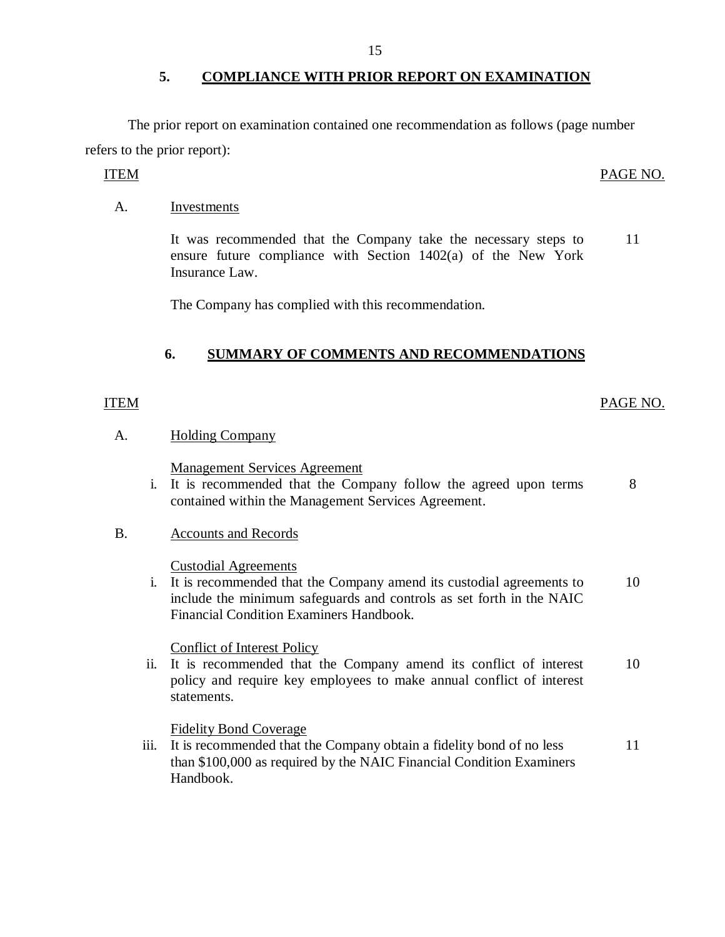The prior report on examination contained one recommendation as follows (page number refers to the prior report):

A. Investments

It was recommended that the Company take the necessary steps to ensure future compliance with Section 1402(a) of the New York Insurance Law. 11

The Company has complied with this recommendation.

## **6. SUMMARY OF COMMENTS AND RECOMMENDATIONS**

## ITEM PAGE NO.

### A. Holding Company

Management Services Agreement

i. It is recommended that the Company follow the agreed upon terms contained within the Management Services Agreement. 8

### B. Accounts and Records

Custodial Agreements

i. It is recommended that the Company amend its custodial agreements to 10 include the minimum safeguards and controls as set forth in the NAIC Financial Condition Examiners Handbook.

### Conflict of Interest Policy

ii. It is recommended that the Company amend its conflict of interest 10 policy and require key employees to make annual conflict of interest statements.

### Fidelity Bond Coverage

iii. It is recommended that the Company obtain a fidelity bond of no less than \$100,000 as required by the NAIC Financial Condition Examiners Handbook. 11

#### ITEM PAGE NO.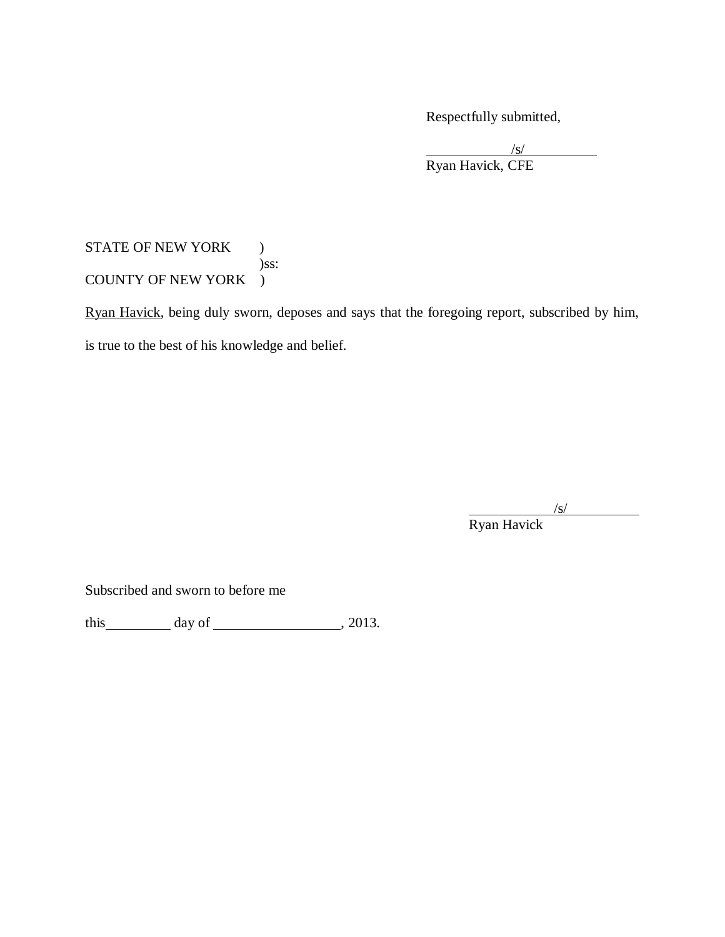Respectfully submitted,

/s/ Ryan Havick, CFE

## STATE OF NEW YORK ) )ss: COUNTY OF NEW YORK )

Ryan Havick, being duly sworn, deposes and says that the foregoing report, subscribed by him, is true to the best of his knowledge and belief.

/s/

Ryan Havick

Subscribed and sworn to before me

this day of , 2013.